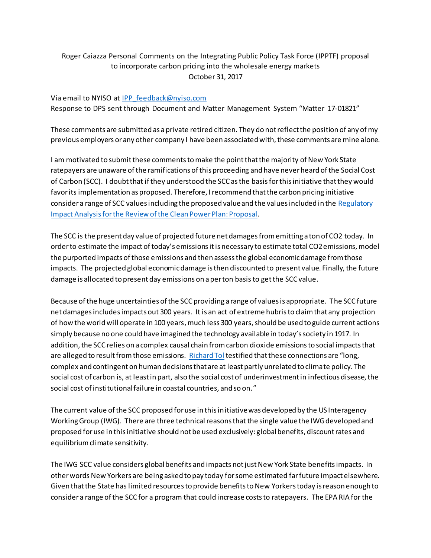## Roger Caiazza Personal Comments on the Integrating Public Policy Task Force (IPPTF) proposal to incorporate carbon pricing into the wholesale energy markets October 31, 2017

## Via email to NYISO at [IPP\\_feedback@nyiso.com](mailto:IPP_feedback@nyiso.com) Response to DPS sent through Document and Matter Management System "Matter 17-01821"

These comments are submitted as a private retired citizen. They do not reflect the position of any of my previous employers or any other company I have been associated with, these comments are mine alone.

I am motivated to submit these comments to make the point that the majority of New York State ratepayers are unaware of the ramifications of this proceeding and have never heard of the Social Cost of Carbon (SCC). I doubt that if they understood the SCC as the basis for this initiative that they would favor its implementation as proposed. Therefore, I recommend that the carbon pricing initiative consider a range of SCC values including the proposed value and the values included in the Regulatory Impact Analysis for the [Review of the Clean Power Plan: Proposal](https://www.epa.gov/sites/production/files/2017-10/documents/ria_proposed-cpp-repeal_2017-10.pdf).

The SCC is the present day value of projected future net damages from emitting a ton of CO2 today. In order to estimate the impact of today's emissions it is necessary to estimate total CO2 emissions, model the purported impacts of those emissions and then assess the global economic damage from those impacts. The projected global economic damage is then discounted to present value. Finally, the future damage is allocated to present day emissions on a per ton basisto get the SCC value.

Because of the huge uncertainties of the SCC providing a range of values is appropriate. The SCC future net damages includes impacts out 300 years. It is an act of extreme hubris to claim that any projection of how the world will operate in 100 years,much less 300 years,should be used to guide current actions simply because no one could have imagined the technology available in today's society in 1917. In addition, the SCC relies on a complex causal chain from carbon dioxide emissionsto social impacts that are alleged to result from those emissions. [Richard Tol](https://www.edockets.state.mn.us/EFiling/edockets/searchDocuments.do?method=showPoup&documentId=%7bA39ADC16-205E-44D3-B080-BC19501F3247%7d&documentTitle=20158-113190-07) testified that these connections are "long, complex and contingent on human decisions that are at least partly unrelated to climate policy. The social cost of carbon is, at least in part, also the social cost of underinvestment in infectious disease, the social cost of institutional failure in coastal countries, and so on."

The current value of the SCC proposed for use in this initiative was developed by the US Interagency Working Group (IWG). There are three technical reasons that the single value the IWG developed and proposed for use in this initiative should not be used exclusively: global benefits, discount rates and equilibrium climate sensitivity.

The IWG SCC value considers global benefits and impacts not just New York State benefitsimpacts. In other words New Yorkers are being asked to pay today for some estimated farfuture impact elsewhere. Given that the State has limited resources to provide benefits to New Yorkers today is reason enough to consider a range of the SCC for a program that could increase costs to ratepayers. The EPA RIA for the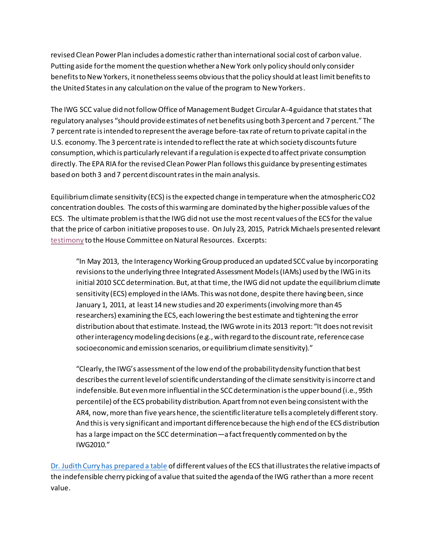revised Clean Power Plan includes a domestic rather than international social cost of carbon value. Putting aside for the moment the question whether a New York only policy should only consider benefits to New Yorkers, it nonetheless seems obvious that the policy should at least limit benefits to the United Statesin any calculation on the value of the program to New Yorkers.

The IWG SCC value did not follow Office of Management Budget Circular A-4 guidance that states that regulatory analyses "should provide estimates of net benefits using both 3 percent and 7 percent." The 7 percent rate isintended to represent the average before-tax rate of return to private capital in the U.S. economy. The 3 percent rate is intended to reflect the rate at which society discounts future consumption, which is particularly relevant if a regulation is expected to affect private consumption directly. The EPA RIA for the revised Clean Power Plan follows this guidance by presenting estimates based on both 3 and 7 percent discount rates in the main analysis.

Equilibrium climate sensitivity (ECS) is the expected change in temperature when the atmospheric CO2 concentration doubles. The costs of this warming are dominated by the higher possible values of the ECS. The ultimate problem is that the IWG did not use the most recent values of the ECS for the value that the price of carbon initiative proposes to use. On July 23, 2015, Patrick Michaels presented relevan[t](http://docs.house.gov/meetings/II/II00/20150722/103843/HHRG-114-II00-Wstate-MichaelsP-20150722.pdf) [testimony](http://docs.house.gov/meetings/II/II00/20150722/103843/HHRG-114-II00-Wstate-MichaelsP-20150722.pdf) to the House Committee on Natural Resources. Excerpts:

"In May 2013, the Interagency Working Group produced an updated SCC value by incorporating revisions to the underlying three Integrated Assessment Models (IAMs) used by the IWG in its initial 2010 SCC determination. But, at that time, the IWG did not update the equilibrium climate sensitivity (ECS) employed in the IAMs. This was not done, despite there having been, since January 1, 2011, at least 14 new studies and 20 experiments (involving more than 45 researchers) examining the ECS, each lowering the best estimate and tightening the error distribution about that estimate. Instead, the IWG wrote in its 2013 report: "It does not revisit other interagency modeling decisions (e.g., with regard to the discount rate, reference case socioeconomic and emission scenarios, or equilibrium climate sensitivity)."

"Clearly, the IWG's assessment of the low end of the probability density function that best describes the current level of scientific understanding of the climate sensitivity is incorre ct and indefensible. But even more influential in the SCC determination is the upper bound (i.e., 95th percentile) of the ECS probability distribution. Apart from not even being consistent with the AR4, now, more than five years hence, the scientific literature tells a completely different story. And this is very significant and important difference because the high end of the ECS distribution has a large impact on the SCC determination—a fact frequently commented on by the IWG2010."

Dr. [Judith Curry has prepared a table](https://judithcurry.com/2015/10/05/on-trial-social-cost-of-carbon/) of different values of the ECS that illustrates the relative impacts of the indefensible cherry picking of a value that suited the agenda of the IWG rather than a more recent value.